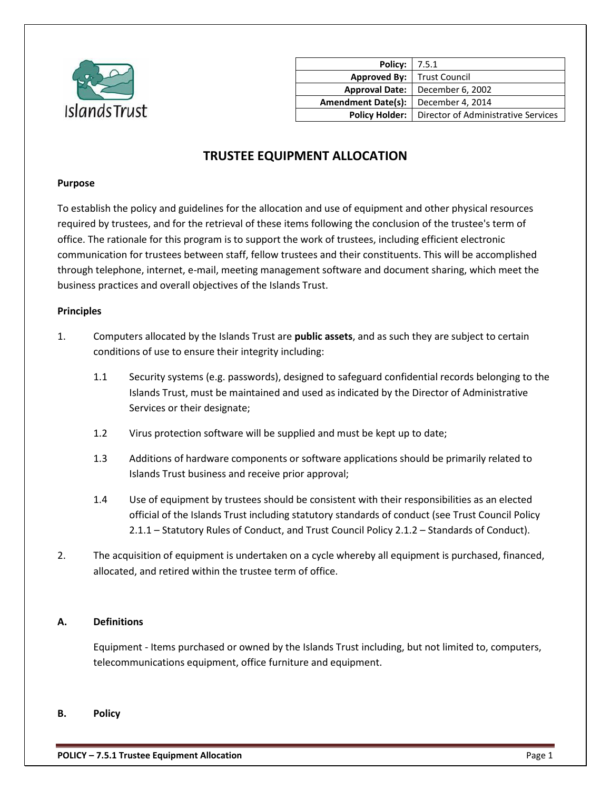

| <b>Policy:</b>   7.5.1              |                                     |
|-------------------------------------|-------------------------------------|
| <b>Approved By:</b>   Trust Council |                                     |
| <b>Approval Date:</b>               | December 6, 2002                    |
| <b>Amendment Date(s):</b>           | December 4, 2014                    |
| <b>Policy Holder:</b>               | Director of Administrative Services |
|                                     |                                     |

# **TRUSTEE EQUIPMENT ALLOCATION**

#### **Purpose**

To establish the policy and guidelines for the allocation and use of equipment and other physical resources required by trustees, and for the retrieval of these items following the conclusion of the trustee's term of office. The rationale for this program is to support the work of trustees, including efficient electronic communication for trustees between staff, fellow trustees and their constituents. This will be accomplished through telephone, internet, e-mail, meeting management software and document sharing, which meet the business practices and overall objectives of the Islands Trust.

#### **Principles**

- 1. Computers allocated by the Islands Trust are **public assets**, and as such they are subject to certain conditions of use to ensure their integrity including:
	- 1.1 Security systems (e.g. passwords), designed to safeguard confidential records belonging to the Islands Trust, must be maintained and used as indicated by the Director of Administrative Services or their designate;
	- 1.2 Virus protection software will be supplied and must be kept up to date;
	- 1.3 Additions of hardware components or software applications should be primarily related to Islands Trust business and receive prior approval;
	- 1.4 Use of equipment by trustees should be consistent with their responsibilities as an elected official of the Islands Trust including statutory standards of conduct (see Trust Council Policy 2.1.1 – Statutory Rules of Conduct, and Trust Council Policy 2.1.2 – Standards of Conduct).
- 2. The acquisition of equipment is undertaken on a cycle whereby all equipment is purchased, financed, allocated, and retired within the trustee term of office.

#### **A. Definitions**

Equipment - Items purchased or owned by the Islands Trust including, but not limited to, computers, telecommunications equipment, office furniture and equipment.

**B. Policy**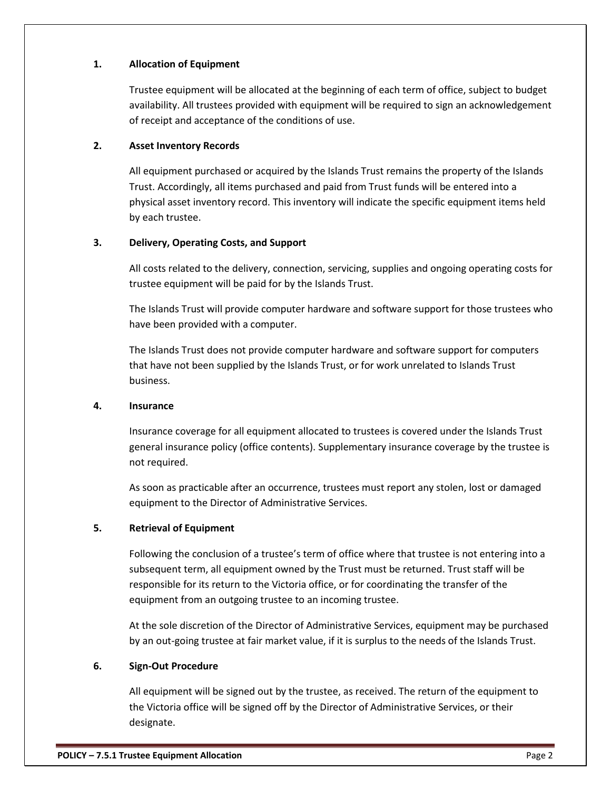## **1. Allocation of Equipment**

Trustee equipment will be allocated at the beginning of each term of office, subject to budget availability. All trustees provided with equipment will be required to sign an acknowledgement of receipt and acceptance of the conditions of use.

## **2. Asset Inventory Records**

All equipment purchased or acquired by the Islands Trust remains the property of the Islands Trust. Accordingly, all items purchased and paid from Trust funds will be entered into a physical asset inventory record. This inventory will indicate the specific equipment items held by each trustee.

## **3. Delivery, Operating Costs, and Support**

All costs related to the delivery, connection, servicing, supplies and ongoing operating costs for trustee equipment will be paid for by the Islands Trust.

The Islands Trust will provide computer hardware and software support for those trustees who have been provided with a computer.

The Islands Trust does not provide computer hardware and software support for computers that have not been supplied by the Islands Trust, or for work unrelated to Islands Trust business.

#### **4. Insurance**

Insurance coverage for all equipment allocated to trustees is covered under the Islands Trust general insurance policy (office contents). Supplementary insurance coverage by the trustee is not required.

As soon as practicable after an occurrence, trustees must report any stolen, lost or damaged equipment to the Director of Administrative Services.

# **5. Retrieval of Equipment**

Following the conclusion of a trustee's term of office where that trustee is not entering into a subsequent term, all equipment owned by the Trust must be returned. Trust staff will be responsible for its return to the Victoria office, or for coordinating the transfer of the equipment from an outgoing trustee to an incoming trustee.

At the sole discretion of the Director of Administrative Services, equipment may be purchased by an out-going trustee at fair market value, if it is surplus to the needs of the Islands Trust.

# **6. Sign-Out Procedure**

All equipment will be signed out by the trustee, as received. The return of the equipment to the Victoria office will be signed off by the Director of Administrative Services, or their designate.